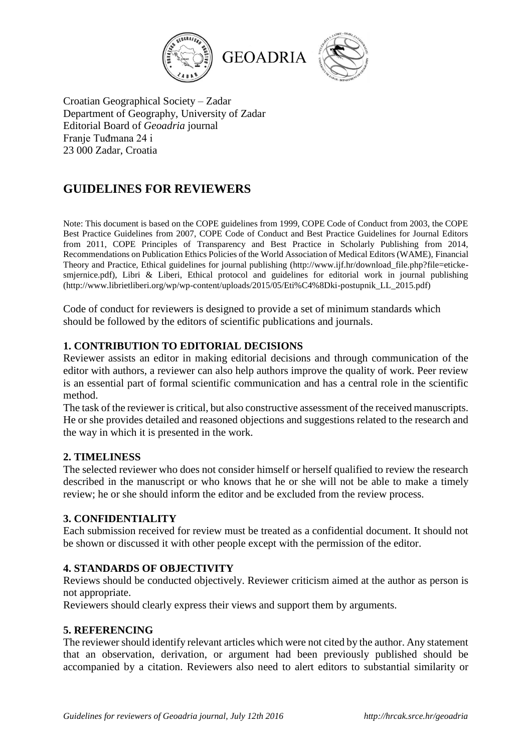

Croatian Geographical Society – Zadar Department of Geography, University of Zadar Editorial Board of *Geoadria* journal Franje Tuđmana 24 i 23 000 Zadar, Croatia

# **GUIDELINES FOR REVIEWERS**

Note: This document is based on the COPE guidelines from 1999, COPE Code of Conduct from 2003, the COPE Best Practice Guidelines from 2007, COPE Code of Conduct and Best Practice Guidelines for Journal Editors from 2011, COPE Principles of Transparency and Best Practice in Scholarly Publishing from 2014, Recommendations on Publication Ethics Policies of the World Association of Medical Editors (WAME), Financial Theory and Practice, Ethical guidelines for journal publishing (http://www.ijf.hr/download\_file.php?file=etickesmjernice.pdf), Libri & Liberi, Ethical protocol and guidelines for editorial work in journal publishing (http://www.librietliberi.org/wp/wp-content/uploads/2015/05/Eti%C4%8Dki-postupnik\_LL\_2015.pdf)

Code of conduct for reviewers is designed to provide a set of minimum standards which should be followed by the editors of scientific publications and journals.

## **1. CONTRIBUTION TO EDITORIAL DECISIONS**

Reviewer assists an editor in making editorial decisions and through communication of the editor with authors, a reviewer can also help authors improve the quality of work. Peer review is an essential part of formal scientific communication and has a central role in the scientific method.

The task of the reviewer is critical, but also constructive assessment of the received manuscripts. He or she provides detailed and reasoned objections and suggestions related to the research and the way in which it is presented in the work.

## **2. TIMELINESS**

The selected reviewer who does not consider himself or herself qualified to review the research described in the manuscript or who knows that he or she will not be able to make a timely review; he or she should inform the editor and be excluded from the review process.

## **3. CONFIDENTIALITY**

Each submission received for review must be treated as a confidential document. It should not be shown or discussed it with other people except with the permission of the editor.

#### **4. STANDARDS OF OBJECTIVITY**

Reviews should be conducted objectively. Reviewer criticism aimed at the author as person is not appropriate.

Reviewers should clearly express their views and support them by arguments.

#### **5. REFERENCING**

The reviewer should identify relevant articles which were not cited by the author. Any statement that an observation, derivation, or argument had been previously published should be accompanied by a citation. Reviewers also need to alert editors to substantial similarity or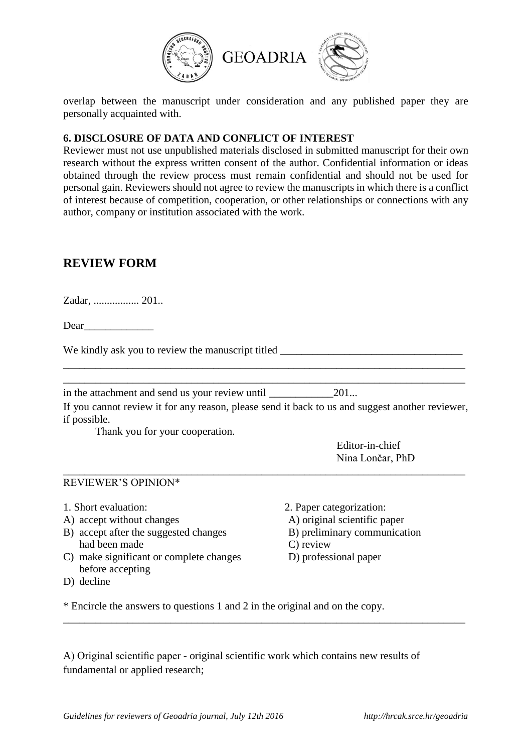

overlap between the manuscript under consideration and any published paper they are personally acquainted with.

## **6. DISCLOSURE OF DATA AND CONFLICT OF INTEREST**

Reviewer must not use unpublished materials disclosed in submitted manuscript for their own research without the express written consent of the author. Confidential information or ideas obtained through the review process must remain confidential and should not be used for personal gain. Reviewers should not agree to review the manuscripts in which there is a conflict of interest because of competition, cooperation, or other relationships or connections with any author, company or institution associated with the work.

## **REVIEW FORM**

Zadar, ................. 201..

Dear

We kindly ask you to review the manuscript titled

in the attachment and send us your review until \_\_\_\_\_\_\_\_\_\_\_\_201...

If you cannot review it for any reason, please send it back to us and suggest another reviewer, if possible.

\_\_\_\_\_\_\_\_\_\_\_\_\_\_\_\_\_\_\_\_\_\_\_\_\_\_\_\_\_\_\_\_\_\_\_\_\_\_\_\_\_\_\_\_\_\_\_\_\_\_\_\_\_\_\_\_\_\_\_\_\_\_\_\_\_\_\_\_\_\_\_\_\_\_\_

\_\_\_\_\_\_\_\_\_\_\_\_\_\_\_\_\_\_\_\_\_\_\_\_\_\_\_\_\_\_\_\_\_\_\_\_\_\_\_\_\_\_\_\_\_\_\_\_\_\_\_\_\_\_\_\_\_\_\_\_\_\_\_\_\_\_\_\_\_\_\_\_\_\_\_

\_\_\_\_\_\_\_\_\_\_\_\_\_\_\_\_\_\_\_\_\_\_\_\_\_\_\_\_\_\_\_\_\_\_\_\_\_\_\_\_\_\_\_\_\_\_\_\_\_\_\_\_\_\_\_\_\_\_\_\_\_\_\_\_\_\_\_\_\_\_\_\_\_\_\_ \_\_\_\_\_\_\_\_\_\_\_\_\_\_\_\_\_\_\_\_\_\_\_\_\_\_\_\_\_\_\_\_\_\_\_\_\_\_\_\_\_\_\_\_\_\_\_\_\_\_\_\_\_\_\_\_\_\_\_\_\_\_\_\_\_\_\_\_\_\_\_\_\_\_\_

Thank you for your cooperation.

Editor-in-chief Nina Lončar, PhD

#### REVIEWER'S OPINION\*

- A) accept without changes A) original scientific paper
- B) accept after the suggested changes B) preliminary communication had been made C) review
- C) make significant or complete changes D) professional paper before accepting
- D) decline
- 1. Short evaluation: 2. Paper categorization:
	-
	-
	-
	-

\* Encircle the answers to questions 1 and 2 in the original and on the copy.

A) Original scientific paper - original scientific work which contains new results of fundamental or applied research;